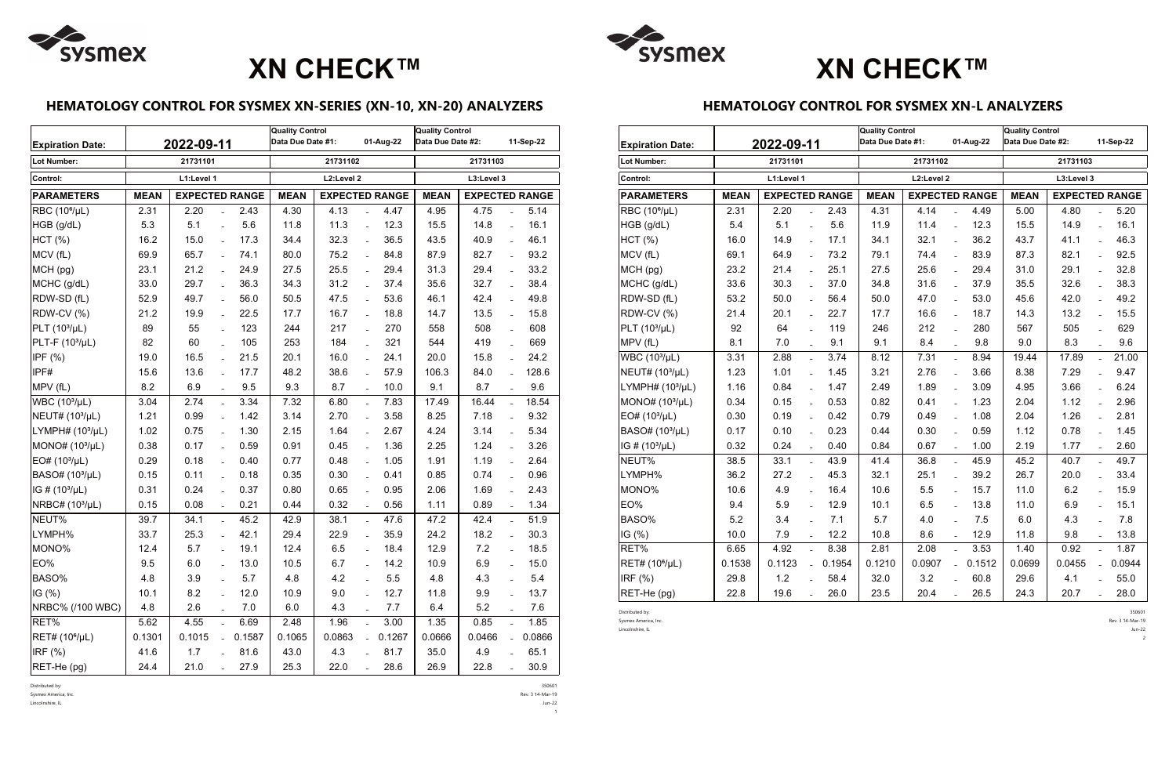## **HEMATOLOGY CONTROL FOR SYSMEX XN-SERIES (XN-10, XN-20) ANALYZERS**

| <b>Expiration Date:</b>     | 2022-09-11  |                       |                |        | <b>Quality Control</b><br>Data Due Date #1:<br>01-Aug-22 |                       |                           |                                      | <b>Quality Control</b><br>Data Due Date #2: |        |                           | 11-Sep-22 |  |
|-----------------------------|-------------|-----------------------|----------------|--------|----------------------------------------------------------|-----------------------|---------------------------|--------------------------------------|---------------------------------------------|--------|---------------------------|-----------|--|
| <b>Lot Number:</b>          |             | 21731101              |                |        | 21731102                                                 |                       | 21731103                  |                                      |                                             |        |                           |           |  |
| Control:                    |             | L1:Level 1            |                |        | L2:Level 2                                               |                       | L3:Level 3                |                                      |                                             |        |                           |           |  |
| <b>PARAMETERS</b>           | <b>MEAN</b> | <b>EXPECTED RANGE</b> |                |        | <b>MEAN</b>                                              | <b>EXPECTED RANGE</b> |                           | <b>MEAN</b><br><b>EXPECTED RANGE</b> |                                             |        |                           |           |  |
| RBC (10 <sup>6</sup> /µL)   | 2.31        | 2.20                  |                | 2.43   | 4.30                                                     | 4.13                  |                           | 4.47                                 | 4.95                                        | 4.75   |                           | 5.14      |  |
| HGB (g/dL)                  | 5.3         | 5.1                   |                | 5.6    | 11.8                                                     | 11.3                  | $\overline{a}$            | 12.3                                 | 15.5                                        | 14.8   | $\equiv$                  | 16.1      |  |
| HCT (%)                     | 16.2        | 15.0                  | $\overline{a}$ | 17.3   | 34.4                                                     | 32.3                  | $\overline{a}$            | 36.5                                 | 43.5                                        | 40.9   | $\equiv$                  | 46.1      |  |
| MCV (fL)                    | 69.9        | 65.7                  |                | 74.1   | 80.0                                                     | 75.2                  |                           | 84.8                                 | 87.9                                        | 82.7   |                           | 93.2      |  |
| MCH (pg)                    | 23.1        | 21.2                  | $\overline{a}$ | 24.9   | 27.5                                                     | 25.5                  | $\mathbb{L}^{\mathbb{N}}$ | 29.4                                 | 31.3                                        | 29.4   | $\mathbb{Z}^{\mathbb{Z}}$ | 33.2      |  |
| MCHC (g/dL)                 | 33.0        | 29.7                  |                | 36.3   | 34.3                                                     | 31.2                  | $\overline{a}$            | 37.4                                 | 35.6                                        | 32.7   | $\overline{a}$            | 38.4      |  |
| RDW-SD (fL)                 | 52.9        | 49.7                  | $\overline{a}$ | 56.0   | 50.5                                                     | 47.5                  | $\overline{a}$            | 53.6                                 | 46.1                                        | 42.4   | $\overline{a}$            | 49.8      |  |
| RDW-CV (%)                  | 21.2        | 19.9                  | $\overline{a}$ | 22.5   | 17.7                                                     | 16.7                  | $\overline{a}$            | 18.8                                 | 14.7                                        | 13.5   | $\overline{a}$            | 15.8      |  |
| $PLT (103/\mu L)$           | 89          | 55                    |                | 123    | 244                                                      | 217                   |                           | 270                                  | 558                                         | 508    |                           | 608       |  |
| PLT-F $(103/µL)$            | 82          | 60                    | $\overline{a}$ | 105    | 253                                                      | 184                   | $\overline{a}$            | 321                                  | 544                                         | 419    | $\overline{a}$            | 669       |  |
| IPF (%)                     | 19.0        | 16.5                  | $\overline{a}$ | 21.5   | 20.1                                                     | 16.0                  | $\overline{a}$            | 24.1                                 | 20.0                                        | 15.8   | $\equiv$                  | 24.2      |  |
| IPF#                        | 15.6        | 13.6                  | $\overline{a}$ | 17.7   | 48.2                                                     | 38.6                  | $\overline{a}$            | 57.9                                 | 106.3                                       | 84.0   | $\overline{a}$            | 128.6     |  |
| MPV (fL)                    | 8.2         | 6.9                   |                | 9.5    | 9.3                                                      | 8.7                   |                           | 10.0                                 | 9.1                                         | 8.7    |                           | 9.6       |  |
| WBC (10 <sup>3</sup> /µL)   | 3.04        | 2.74                  |                | 3.34   | 7.32                                                     | 6.80                  | $\overline{a}$            | 7.83                                 | 17.49                                       | 16.44  | $\equiv$                  | 18.54     |  |
| NEUT# (10 <sup>3</sup> /µL) | 1.21        | 0.99                  | $\overline{a}$ | 1.42   | 3.14                                                     | 2.70                  | $\overline{a}$            | 3.58                                 | 8.25                                        | 7.18   | $\equiv$                  | 9.32      |  |
| LYMPH# $(103/\mu L)$        | 1.02        | 0.75                  | $\overline{a}$ | 1.30   | 2.15                                                     | 1.64                  | $\overline{a}$            | 2.67                                 | 4.24                                        | 3.14   | $\overline{a}$            | 5.34      |  |
| MONO# $(103/µL)$            | 0.38        | 0.17                  | $\overline{a}$ | 0.59   | 0.91                                                     | 0.45                  | $\overline{a}$            | 1.36                                 | 2.25                                        | 1.24   | $\overline{a}$            | 3.26      |  |
| $EO# (103/\mu L)$           | 0.29        | 0.18                  | $\overline{a}$ | 0.40   | 0.77                                                     | 0.48                  | $\overline{a}$            | 1.05                                 | 1.91                                        | 1.19   | $\overline{a}$            | 2.64      |  |
| BASO# (10 <sup>3</sup> /µL) | 0.15        | 0.11                  |                | 0.18   | 0.35                                                     | 0.30                  | $\overline{a}$            | 0.41                                 | 0.85                                        | 0.74   | $\equiv$                  | 0.96      |  |
| IG # $(10^3/\mu)$           | 0.31        | 0.24                  |                | 0.37   | 0.80                                                     | 0.65                  | $\overline{a}$            | 0.95                                 | 2.06                                        | 1.69   | $\overline{a}$            | 2.43      |  |
| NRBC# (10 <sup>3</sup> /µL) | 0.15        | 0.08                  | $\overline{a}$ | 0.21   | 0.44                                                     | 0.32                  | $\overline{a}$            | 0.56                                 | 1.11                                        | 0.89   | $\overline{a}$            | 1.34      |  |
| NEUT%                       | 39.7        | 34.1                  |                | 45.2   | 42.9                                                     | 38.1                  |                           | 47.6                                 | 47.2                                        | 42.4   | $\overline{a}$            | 51.9      |  |
| LYMPH%                      | 33.7        | 25.3                  |                | 42.1   | 29.4                                                     | 22.9                  | $\overline{a}$            | 35.9                                 | 24.2                                        | 18.2   |                           | 30.3      |  |
| MONO%                       | 12.4        | 5.7                   |                | 19.1   | 12.4                                                     | 6.5                   |                           | 18.4                                 | 12.9                                        | 7.2    |                           | 18.5      |  |
| EO%                         | 9.5         | 6.0                   |                | 13.0   | 10.5                                                     | 6.7                   |                           | 14.2                                 | 10.9                                        | 6.9    |                           | 15.0      |  |
| BASO%                       | 4.8         | 3.9                   |                | 5.7    | 4.8                                                      | 4.2                   |                           | 5.5                                  | 4.8                                         | 4.3    |                           | 5.4       |  |
| IG $(%)$                    | 10.1        | 8.2                   |                | 12.0   | 10.9                                                     | 9.0                   |                           | 12.7                                 | 11.8                                        | 9.9    |                           | 13.7      |  |
| NRBC% (/100 WBC)            | 4.8         | 2.6                   |                | 7.0    | 6.0                                                      | 4.3                   |                           | 7.7                                  | 6.4                                         | 5.2    |                           | 7.6       |  |
| RET%                        | 5.62        | 4.55                  |                | 6.69   | 2.48                                                     | 1.96                  |                           | 3.00                                 | 1.35                                        | 0.85   | $\overline{a}$            | 1.85      |  |
| RET# (10 <sup>6</sup> /µL)  | 0.1301      | 0.1015                |                | 0.1587 | 0.1065                                                   | 0.0863                |                           | 0.1267                               | 0.0666                                      | 0.0466 |                           | 0.0866    |  |
| IRF (%)                     | 41.6        | 1.7                   |                | 81.6   | 43.0                                                     | 4.3                   |                           | 81.7                                 | 35.0                                        | 4.9    |                           | 65.1      |  |
| RET-He (pg)                 | 24.4        | 21.0                  |                | 27.9   | 25.3                                                     | 22.0                  |                           | 28.6                                 | 26.9                                        | 22.8   |                           | 30.9      |  |

| Distributed by: | 350601 |
|-----------------|--------|
| .               |        |

Sysmex America, Inc. Rev. 3 14-Mar-19

 $\overline{1}$ 

Lincolnshire, IL Jun-22

### **HEMATOLOGY CONTROL FOR SYSMEX XN-L ANALYZERS**

| <b>Expiration Date:</b>     | 2022-09-11  |                       |                           |        | <b>Quality Control</b><br>Data Due Date #1:<br>01-Aug-22 |                       |                           |        | <b>Quality Control</b><br>Data Due Date #2: |                                      |                | 11-Sep-22 |  |
|-----------------------------|-------------|-----------------------|---------------------------|--------|----------------------------------------------------------|-----------------------|---------------------------|--------|---------------------------------------------|--------------------------------------|----------------|-----------|--|
| Lot Number:                 |             | 21731101              |                           |        | 21731102                                                 |                       | 21731103                  |        |                                             |                                      |                |           |  |
| Control:                    |             | L1:Level 1            |                           |        | L2:Level 2                                               |                       | L3:Level 3                |        |                                             |                                      |                |           |  |
| <b>PARAMETERS</b>           | <b>MEAN</b> | <b>EXPECTED RANGE</b> |                           |        | <b>MEAN</b>                                              | <b>EXPECTED RANGE</b> |                           |        |                                             | <b>MEAN</b><br><b>EXPECTED RANGE</b> |                |           |  |
| RBC (10 <sup>6</sup> /µL)   | 2.31        | 2.20                  | $\overline{a}$            | 2.43   | 4.31                                                     | 4.14                  | $\overline{a}$            | 4.49   | 5.00                                        | 4.80                                 | $\overline{a}$ | 5.20      |  |
| HGB (g/dL)                  | 5.4         | 5.1                   | $\overline{a}$            | 5.6    | 11.9                                                     | 11.4                  | $\overline{a}$            | 12.3   | 15.5                                        | 14.9                                 | $\overline{a}$ | 16.1      |  |
| HCT (%)                     | 16.0        | 14.9                  | $\overline{a}$            | 17.1   | 34.1                                                     | 32.1                  | $\overline{a}$            | 36.2   | 43.7                                        | 41.1                                 | $\overline{a}$ | 46.3      |  |
| MCV (fL)                    | 69.1        | 64.9                  | $\overline{a}$            | 73.2   | 79.1                                                     | 74.4                  | $\overline{a}$            | 83.9   | 87.3                                        | 82.1                                 | $\overline{a}$ | 92.5      |  |
| MCH (pg)                    | 23.2        | 21.4                  | $\overline{a}$            | 25.1   | 27.5                                                     | 25.6                  | $\overline{a}$            | 29.4   | 31.0                                        | 29.1                                 | $\overline{a}$ | 32.8      |  |
| MCHC (g/dL)                 | 33.6        | 30.3                  | $\overline{a}$            | 37.0   | 34.8                                                     | 31.6                  | $\equiv$                  | 37.9   | 35.5                                        | 32.6                                 | $\overline{a}$ | 38.3      |  |
| RDW-SD (fL)                 | 53.2        | 50.0                  |                           | 56.4   | 50.0                                                     | 47.0                  | $\overline{a}$            | 53.0   | 45.6                                        | 42.0                                 | $\overline{a}$ | 49.2      |  |
| RDW-CV (%)                  | 21.4        | 20.1                  | $\overline{a}$            | 22.7   | 17.7                                                     | 16.6                  | $\overline{a}$            | 18.7   | 14.3                                        | 13.2                                 | $\overline{a}$ | 15.5      |  |
| PLT $(103/\mu L)$           | 92          | 64                    | $\overline{a}$            | 119    | 246                                                      | 212                   | $\overline{a}$            | 280    | 567                                         | 505                                  | $\equiv$       | 629       |  |
| MPV (fL)                    | 8.1         | 7.0                   |                           | 9.1    | 9.1                                                      | 8.4                   |                           | 9.8    | 9.0                                         | 8.3                                  |                | 9.6       |  |
| WBC (10 <sup>3</sup> /µL)   | 3.31        | 2.88                  | $\mathbb{L}^{\mathbb{N}}$ | 3.74   | 8.12                                                     | 7.31                  | $\mathbb{L}^{\mathbb{R}}$ | 8.94   | 19.44                                       | 17.89                                | $\equiv$       | 21.00     |  |
| NEUT# (10 <sup>3</sup> /µL) | 1.23        | 1.01                  | $\overline{a}$            | 1.45   | 3.21                                                     | 2.76                  | $\overline{a}$            | 3.66   | 8.38                                        | 7.29                                 | $\overline{a}$ | 9.47      |  |
| LYMPH# $(103/µL)$           | 1.16        | 0.84                  | $\overline{a}$            | 1.47   | 2.49                                                     | 1.89                  | $\overline{a}$            | 3.09   | 4.95                                        | 3.66                                 | $\overline{a}$ | 6.24      |  |
| MONO# $(103/\mu L)$         | 0.34        | 0.15                  | $\overline{a}$            | 0.53   | 0.82                                                     | 0.41                  | $\overline{a}$            | 1.23   | 2.04                                        | 1.12                                 | $\overline{a}$ | 2.96      |  |
| EO# (10 <sup>3</sup> /µL)   | 0.30        | 0.19                  | $\overline{a}$            | 0.42   | 0.79                                                     | 0.49                  | $\overline{a}$            | 1.08   | 2.04                                        | 1.26                                 | $\overline{a}$ | 2.81      |  |
| BASO# (10 <sup>3</sup> /µL) | 0.17        | 0.10                  | $\overline{a}$            | 0.23   | 0.44                                                     | 0.30                  | $\equiv$                  | 0.59   | 1.12                                        | 0.78                                 | $\overline{a}$ | 1.45      |  |
| $IG$ # (10 $^{3}/\mu L$ )   | 0.32        | 0.24                  | $\overline{a}$            | 0.40   | 0.84                                                     | 0.67                  | $\overline{a}$            | 1.00   | 2.19                                        | 1.77                                 | $\overline{a}$ | 2.60      |  |
| NEUT%                       | 38.5        | 33.1                  | $\overline{a}$            | 43.9   | 41.4                                                     | 36.8                  | $\overline{a}$            | 45.9   | 45.2                                        | 40.7                                 | $\mathbf{r}$   | 49.7      |  |
| LYMPH%                      | 36.2        | 27.2                  | $\overline{a}$            | 45.3   | 32.1                                                     | 25.1                  | $\overline{a}$            | 39.2   | 26.7                                        | 20.0                                 | $\overline{a}$ | 33.4      |  |
| MONO%                       | 10.6        | 4.9                   | $\overline{a}$            | 16.4   | 10.6                                                     | 5.5                   | $\overline{a}$            | 15.7   | 11.0                                        | 6.2                                  | $\overline{a}$ | 15.9      |  |
| EO%                         | 9.4         | 5.9                   | $\overline{a}$            | 12.9   | 10.1                                                     | 6.5                   | $\overline{a}$            | 13.8   | 11.0                                        | 6.9                                  | $\overline{a}$ | 15.1      |  |
| BASO%                       | 5.2         | 3.4                   | $\overline{a}$            | 7.1    | 5.7                                                      | 4.0                   | $\overline{a}$            | 7.5    | 6.0                                         | 4.3                                  | $\overline{a}$ | 7.8       |  |
| IG(%)                       | 10.0        | 7.9                   | $\overline{a}$            | 12.2   | 10.8                                                     | 8.6                   | $\equiv$                  | 12.9   | 11.8                                        | 9.8                                  | $\equiv$       | 13.8      |  |
| RET%                        | 6.65        | 4.92                  | $\mathbf{r}$              | 8.38   | 2.81                                                     | 2.08                  | $\mathbf{r}$              | 3.53   | 1.40                                        | 0.92                                 | $\mathbf{r}$   | 1.87      |  |
| RET# (10 <sup>6</sup> /µL)  | 0.1538      | 0.1123                | $\mathbb{L}^{\mathbb{N}}$ | 0.1954 | 0.1210                                                   | 0.0907                | $\overline{a}$            | 0.1512 | 0.0699                                      | 0.0455                               | $\mathbf{L}$   | 0.0944    |  |
| IRF (%)                     | 29.8        | 1.2                   | $\overline{a}$            | 58.4   | 32.0                                                     | 3.2                   | $\overline{a}$            | 60.8   | 29.6                                        | 4.1                                  |                | 55.0      |  |
| RET-He (pg)                 | 22.8        | 19.6                  | $\overline{a}$            | 26.0   | 23.5                                                     | 20.4                  | $\overline{a}$            | 26.5   | 24.3                                        | 20.7                                 | $\overline{a}$ | 28.0      |  |

Distributed by: 350601 Sysmex America, Inc. Rev. 3 14-Mar-19 Lincolnshire, IL Jun-22 2